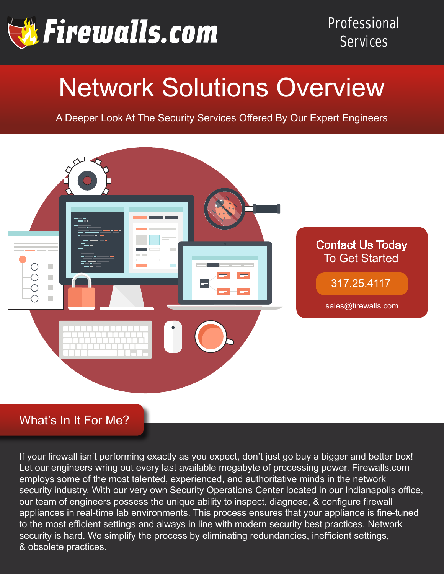

# Network Solutions Overview

A Deeper Look At The Security Services Offered By Our Expert Engineers



# What's In It For Me?

If your firewall isn't performing exactly as you expect, don't just go buy a bigger and better box! Let our engineers wring out every last available megabyte of processing power. Firewalls.com employs some of the most talented, experienced, and authoritative minds in the network security industry. With our very own Security Operations Center located in our Indianapolis office, our team of engineers possess the unique ability to inspect, diagnose, & configure firewall appliances in real-time lab environments. This process ensures that your appliance is fine-tuned to the most efficient settings and always in line with modern security best practices. Network security is hard. We simplify the process by eliminating redundancies, inefficient settings, & obsolete practices.